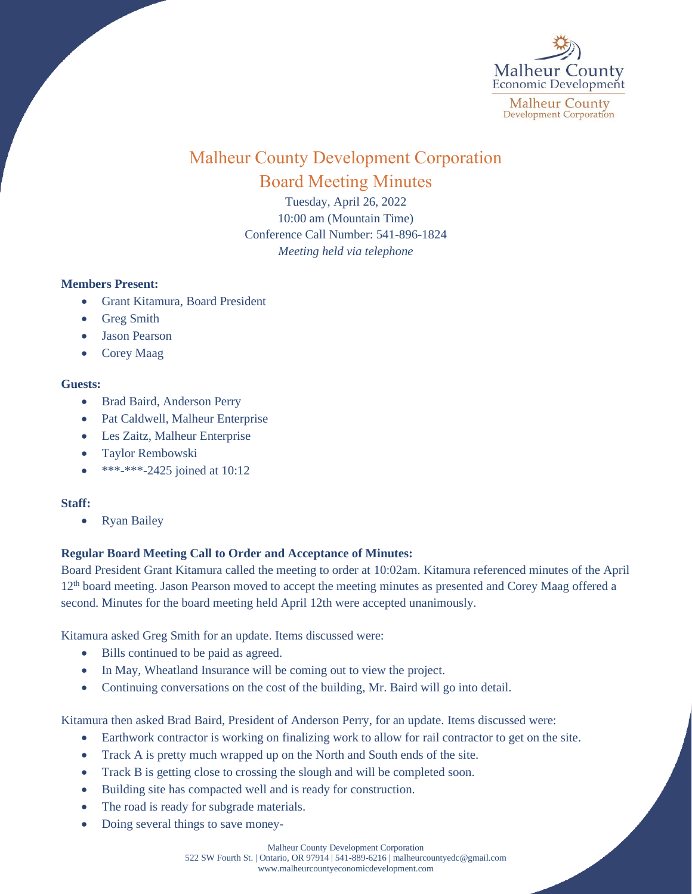

# Malheur County Development Corporation Board Meeting Minutes

Tuesday, April 26, 2022 10:00 am (Mountain Time) Conference Call Number: 541-896-1824 *Meeting held via telephone*

### **Members Present:**

- Grant Kitamura, Board President
- Greg Smith
- Jason Pearson
- Corey Maag

## **Guests:**

- Brad Baird, Anderson Perry
- Pat Caldwell, Malheur Enterprise
- Les Zaitz, Malheur Enterprise
- Taylor Rembowski
- \*\*\*-\*\*\*-2425 joined at 10:12

### **Staff:**

• Ryan Bailey

## **Regular Board Meeting Call to Order and Acceptance of Minutes:**

Board President Grant Kitamura called the meeting to order at 10:02am. Kitamura referenced minutes of the April 12<sup>th</sup> board meeting. Jason Pearson moved to accept the meeting minutes as presented and Corey Maag offered a second. Minutes for the board meeting held April 12th were accepted unanimously.

Kitamura asked Greg Smith for an update. Items discussed were:

- Bills continued to be paid as agreed.
- In May, Wheatland Insurance will be coming out to view the project.
- Continuing conversations on the cost of the building, Mr. Baird will go into detail.

Kitamura then asked Brad Baird, President of Anderson Perry, for an update. Items discussed were:

- Earthwork contractor is working on finalizing work to allow for rail contractor to get on the site.
- Track A is pretty much wrapped up on the North and South ends of the site.
- Track B is getting close to crossing the slough and will be completed soon.
- Building site has compacted well and is ready for construction.
- The road is ready for subgrade materials.
- Doing several things to save money-

Malheur County Development Corporation 522 SW Fourth St. | Ontario, OR 97914 | 541-889-6216 [| malheurcountyedc@gmail.com](mailto:malheurcountyedc@gmail.com) [www.malheurcountyeconomicdevelopment.com](http://www.malheurcountyeconomicdevelopment.com/)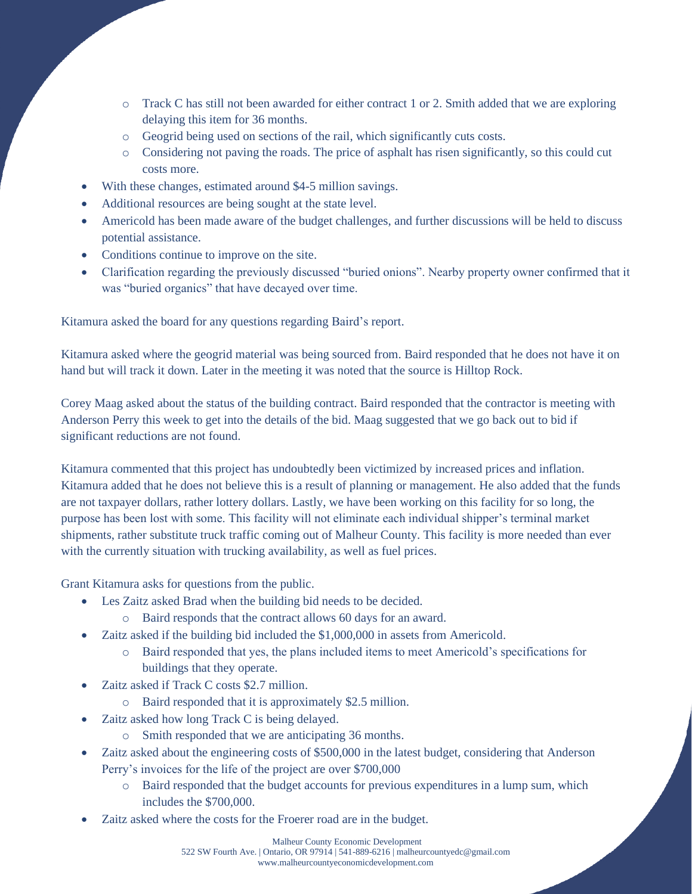- o Track C has still not been awarded for either contract 1 or 2. Smith added that we are exploring delaying this item for 36 months.
- o Geogrid being used on sections of the rail, which significantly cuts costs.
- o Considering not paving the roads. The price of asphalt has risen significantly, so this could cut costs more.
- With these changes, estimated around \$4-5 million savings.
- Additional resources are being sought at the state level.
- Americold has been made aware of the budget challenges, and further discussions will be held to discuss potential assistance.
- Conditions continue to improve on the site.
- Clarification regarding the previously discussed "buried onions". Nearby property owner confirmed that it was "buried organics" that have decayed over time.

Kitamura asked the board for any questions regarding Baird's report.

Kitamura asked where the geogrid material was being sourced from. Baird responded that he does not have it on hand but will track it down. Later in the meeting it was noted that the source is Hilltop Rock.

Corey Maag asked about the status of the building contract. Baird responded that the contractor is meeting with Anderson Perry this week to get into the details of the bid. Maag suggested that we go back out to bid if significant reductions are not found.

Kitamura commented that this project has undoubtedly been victimized by increased prices and inflation. Kitamura added that he does not believe this is a result of planning or management. He also added that the funds are not taxpayer dollars, rather lottery dollars. Lastly, we have been working on this facility for so long, the purpose has been lost with some. This facility will not eliminate each individual shipper's terminal market shipments, rather substitute truck traffic coming out of Malheur County. This facility is more needed than ever with the currently situation with trucking availability, as well as fuel prices.

Grant Kitamura asks for questions from the public.

- Les Zaitz asked Brad when the building bid needs to be decided.
	- o Baird responds that the contract allows 60 days for an award.
- Zaitz asked if the building bid included the \$1,000,000 in assets from Americold.
	- o Baird responded that yes, the plans included items to meet Americold's specifications for buildings that they operate.
- Zaitz asked if Track C costs \$2.7 million.
	- o Baird responded that it is approximately \$2.5 million.
- Zaitz asked how long Track C is being delayed.
	- o Smith responded that we are anticipating 36 months.
- Zaitz asked about the engineering costs of \$500,000 in the latest budget, considering that Anderson Perry's invoices for the life of the project are over \$700,000
	- o Baird responded that the budget accounts for previous expenditures in a lump sum, which includes the \$700,000.
- Zaitz asked where the costs for the Froerer road are in the budget.